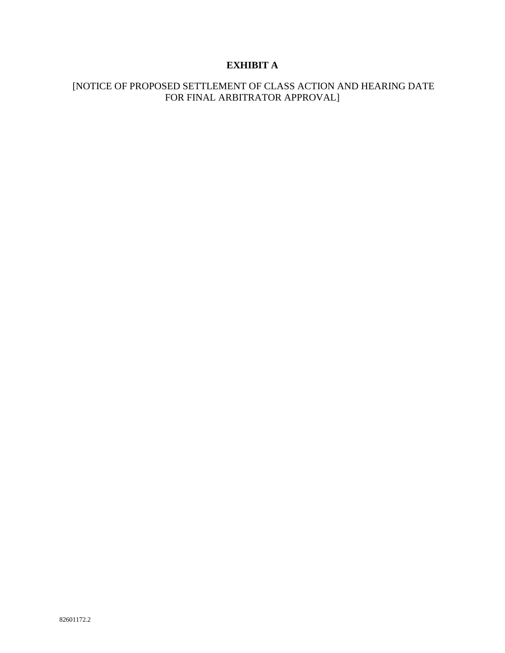## **EXHIBIT A**

## [NOTICE OF PROPOSED SETTLEMENT OF CLASS ACTION AND HEARING DATE FOR FINAL ARBITRATOR APPROVAL]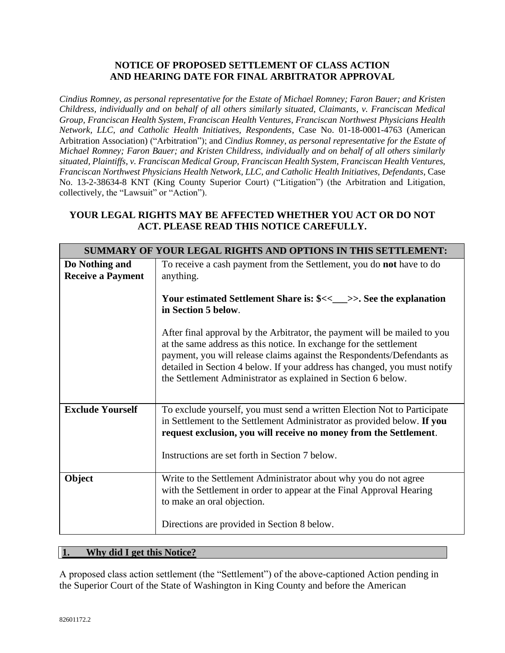## **NOTICE OF PROPOSED SETTLEMENT OF CLASS ACTION AND HEARING DATE FOR FINAL ARBITRATOR APPROVAL**

*Cindius Romney, as personal representative for the Estate of Michael Romney; Faron Bauer; and Kristen Childress, individually and on behalf of all others similarly situated, Claimants, v. Franciscan Medical Group, Franciscan Health System, Franciscan Health Ventures, Franciscan Northwest Physicians Health Network, LLC, and Catholic Health Initiatives, Respondents*, Case No. 01-18-0001-4763 (American Arbitration Association) ("Arbitration"); and *Cindius Romney, as personal representative for the Estate of Michael Romney; Faron Bauer; and Kristen Childress, individually and on behalf of all others similarly situated, Plaintiffs, v. Franciscan Medical Group, Franciscan Health System, Franciscan Health Ventures, Franciscan Northwest Physicians Health Network, LLC, and Catholic Health Initiatives, Defendants*, Case No. 13-2-38634-8 KNT (King County Superior Court) ("Litigation") (the Arbitration and Litigation, collectively, the "Lawsuit" or "Action").

| <b>SUMMARY OF YOUR LEGAL RIGHTS AND OPTIONS IN THIS SETTLEMENT:</b> |                                                                                                                                                                                                                                                                                                                                                                         |  |
|---------------------------------------------------------------------|-------------------------------------------------------------------------------------------------------------------------------------------------------------------------------------------------------------------------------------------------------------------------------------------------------------------------------------------------------------------------|--|
| Do Nothing and<br><b>Receive a Payment</b>                          | To receive a cash payment from the Settlement, you do <b>not</b> have to do<br>anything.                                                                                                                                                                                                                                                                                |  |
|                                                                     | Your estimated Settlement Share is: \$<<___>>. See the explanation<br>in Section 5 below.                                                                                                                                                                                                                                                                               |  |
|                                                                     | After final approval by the Arbitrator, the payment will be mailed to you<br>at the same address as this notice. In exchange for the settlement<br>payment, you will release claims against the Respondents/Defendants as<br>detailed in Section 4 below. If your address has changed, you must notify<br>the Settlement Administrator as explained in Section 6 below. |  |
| <b>Exclude Yourself</b>                                             | To exclude yourself, you must send a written Election Not to Participate<br>in Settlement to the Settlement Administrator as provided below. If you<br>request exclusion, you will receive no money from the Settlement.                                                                                                                                                |  |
|                                                                     | Instructions are set forth in Section 7 below.                                                                                                                                                                                                                                                                                                                          |  |

## **YOUR LEGAL RIGHTS MAY BE AFFECTED WHETHER YOU ACT OR DO NOT ACT. PLEASE READ THIS NOTICE CAREFULLY.**

# **Object** Write to the Settlement Administrator about why you do not agree with the Settlement in order to appear at the Final Approval Hearing to make an oral objection. Directions are provided in Section 8 below.

## **1. Why did I get this Notice?**

A proposed class action settlement (the "Settlement") of the above-captioned Action pending in the Superior Court of the State of Washington in King County and before the American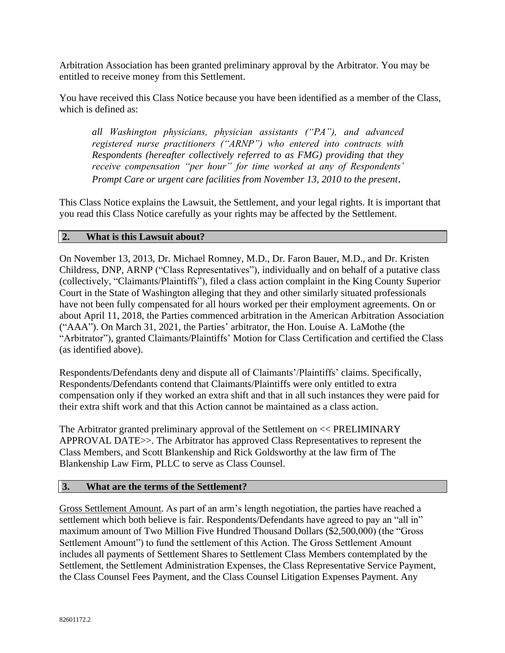Arbitration Association has been granted preliminary approval by the Arbitrator. You may be entitled to receive money from this Settlement.

You have received this Class Notice because you have been identified as a member of the Class, which is defined as:

*all Washington physicians, physician assistants ("PA"), and advanced registered nurse practitioners ("ARNP") who entered into contracts with Respondents (hereafter collectively referred to as FMG) providing that they receive compensation "per hour" for time worked at any of Respondents' Prompt Care or urgent care facilities from November 13, 2010 to the present*.

This Class Notice explains the Lawsuit, the Settlement, and your legal rights. It is important that you read this Class Notice carefully as your rights may be affected by the Settlement.

## **2. What is this Lawsuit about?**

On November 13, 2013, Dr. Michael Romney, M.D., Dr. Faron Bauer, M.D., and Dr. Kristen Childress, DNP, ARNP ("Class Representatives"), individually and on behalf of a putative class (collectively, "Claimants/Plaintiffs"), filed a class action complaint in the King County Superior Court in the State of Washington alleging that they and other similarly situated professionals have not been fully compensated for all hours worked per their employment agreements. On or about April 11, 2018, the Parties commenced arbitration in the American Arbitration Association ("AAA"). On March 31, 2021, the Parties' arbitrator, the Hon. Louise A. LaMothe (the "Arbitrator"), granted Claimants/Plaintiffs' Motion for Class Certification and certified the Class (as identified above).

Respondents/Defendants deny and dispute all of Claimants'/Plaintiffs' claims. Specifically, Respondents/Defendants contend that Claimants/Plaintiffs were only entitled to extra compensation only if they worked an extra shift and that in all such instances they were paid for their extra shift work and that this Action cannot be maintained as a class action.

The Arbitrator granted preliminary approval of the Settlement on << PRELIMINARY APPROVAL DATE>>. The Arbitrator has approved Class Representatives to represent the Class Members, and Scott Blankenship and Rick Goldsworthy at the law firm of The Blankenship Law Firm, PLLC to serve as Class Counsel.

## **3. What are the terms of the Settlement?**

Gross Settlement Amount. As part of an arm's length negotiation, the parties have reached a settlement which both believe is fair. Respondents/Defendants have agreed to pay an "all in" maximum amount of Two Million Five Hundred Thousand Dollars (\$2,500,000) (the "Gross Settlement Amount") to fund the settlement of this Action. The Gross Settlement Amount includes all payments of Settlement Shares to Settlement Class Members contemplated by the Settlement, the Settlement Administration Expenses, the Class Representative Service Payment, the Class Counsel Fees Payment, and the Class Counsel Litigation Expenses Payment. Any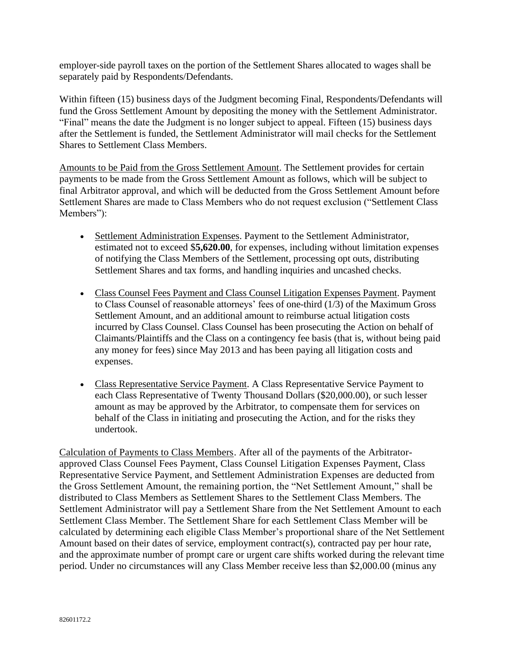employer-side payroll taxes on the portion of the Settlement Shares allocated to wages shall be separately paid by Respondents/Defendants.

Within fifteen (15) business days of the Judgment becoming Final, Respondents/Defendants will fund the Gross Settlement Amount by depositing the money with the Settlement Administrator. "Final" means the date the Judgment is no longer subject to appeal. Fifteen (15) business days after the Settlement is funded, the Settlement Administrator will mail checks for the Settlement Shares to Settlement Class Members.

Amounts to be Paid from the Gross Settlement Amount. The Settlement provides for certain payments to be made from the Gross Settlement Amount as follows, which will be subject to final Arbitrator approval, and which will be deducted from the Gross Settlement Amount before Settlement Shares are made to Class Members who do not request exclusion ("Settlement Class Members"):

- Settlement Administration Expenses. Payment to the Settlement Administrator, estimated not to exceed \$**5,620.00**, for expenses, including without limitation expenses of notifying the Class Members of the Settlement, processing opt outs, distributing Settlement Shares and tax forms, and handling inquiries and uncashed checks.
- Class Counsel Fees Payment and Class Counsel Litigation Expenses Payment. Payment to Class Counsel of reasonable attorneys' fees of one-third (1/3) of the Maximum Gross Settlement Amount, and an additional amount to reimburse actual litigation costs incurred by Class Counsel. Class Counsel has been prosecuting the Action on behalf of Claimants/Plaintiffs and the Class on a contingency fee basis (that is, without being paid any money for fees) since May 2013 and has been paying all litigation costs and expenses.
- Class Representative Service Payment. A Class Representative Service Payment to each Class Representative of Twenty Thousand Dollars (\$20,000.00), or such lesser amount as may be approved by the Arbitrator, to compensate them for services on behalf of the Class in initiating and prosecuting the Action, and for the risks they undertook.

Calculation of Payments to Class Members. After all of the payments of the Arbitratorapproved Class Counsel Fees Payment, Class Counsel Litigation Expenses Payment, Class Representative Service Payment, and Settlement Administration Expenses are deducted from the Gross Settlement Amount, the remaining portion, the "Net Settlement Amount," shall be distributed to Class Members as Settlement Shares to the Settlement Class Members. The Settlement Administrator will pay a Settlement Share from the Net Settlement Amount to each Settlement Class Member. The Settlement Share for each Settlement Class Member will be calculated by determining each eligible Class Member's proportional share of the Net Settlement Amount based on their dates of service, employment contract(s), contracted pay per hour rate, and the approximate number of prompt care or urgent care shifts worked during the relevant time period. Under no circumstances will any Class Member receive less than \$2,000.00 (minus any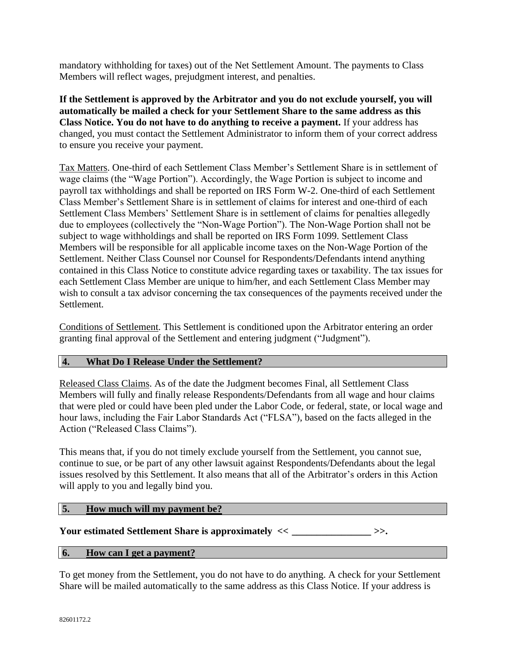mandatory withholding for taxes) out of the Net Settlement Amount. The payments to Class Members will reflect wages, prejudgment interest, and penalties.

**If the Settlement is approved by the Arbitrator and you do not exclude yourself, you will automatically be mailed a check for your Settlement Share to the same address as this Class Notice. You do not have to do anything to receive a payment.** If your address has changed, you must contact the Settlement Administrator to inform them of your correct address to ensure you receive your payment.

Tax Matters. One-third of each Settlement Class Member's Settlement Share is in settlement of wage claims (the "Wage Portion"). Accordingly, the Wage Portion is subject to income and payroll tax withholdings and shall be reported on IRS Form W-2. One-third of each Settlement Class Member's Settlement Share is in settlement of claims for interest and one-third of each Settlement Class Members' Settlement Share is in settlement of claims for penalties allegedly due to employees (collectively the "Non-Wage Portion"). The Non-Wage Portion shall not be subject to wage withholdings and shall be reported on IRS Form 1099. Settlement Class Members will be responsible for all applicable income taxes on the Non-Wage Portion of the Settlement. Neither Class Counsel nor Counsel for Respondents/Defendants intend anything contained in this Class Notice to constitute advice regarding taxes or taxability. The tax issues for each Settlement Class Member are unique to him/her, and each Settlement Class Member may wish to consult a tax advisor concerning the tax consequences of the payments received under the Settlement.

Conditions of Settlement. This Settlement is conditioned upon the Arbitrator entering an order granting final approval of the Settlement and entering judgment ("Judgment").

## **4. What Do I Release Under the Settlement?**

Released Class Claims. As of the date the Judgment becomes Final, all Settlement Class Members will fully and finally release Respondents/Defendants from all wage and hour claims that were pled or could have been pled under the Labor Code, or federal, state, or local wage and hour laws, including the Fair Labor Standards Act ("FLSA"), based on the facts alleged in the Action ("Released Class Claims").

This means that, if you do not timely exclude yourself from the Settlement, you cannot sue, continue to sue, or be part of any other lawsuit against Respondents/Defendants about the legal issues resolved by this Settlement. It also means that all of the Arbitrator's orders in this Action will apply to you and legally bind you.

## **5. How much will my payment be?**

## **Your estimated Settlement Share is approximately << \_\_\_\_\_\_\_\_\_\_\_\_\_\_\_\_ >>.**

## **6. How can I get a payment?**

To get money from the Settlement, you do not have to do anything. A check for your Settlement Share will be mailed automatically to the same address as this Class Notice. If your address is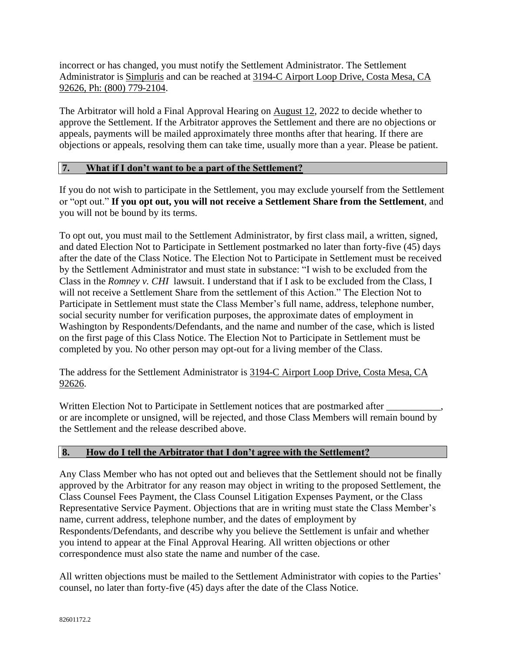incorrect or has changed, you must notify the Settlement Administrator. The Settlement Administrator is Simpluris and can be reached at 3194-C Airport Loop Drive, Costa Mesa, CA 92626, Ph: (800) 779-2104.

The Arbitrator will hold a Final Approval Hearing on August 12, 2022 to decide whether to approve the Settlement. If the Arbitrator approves the Settlement and there are no objections or appeals, payments will be mailed approximately three months after that hearing. If there are objections or appeals, resolving them can take time, usually more than a year. Please be patient.

## **7. What if I don't want to be a part of the Settlement?**

If you do not wish to participate in the Settlement, you may exclude yourself from the Settlement or "opt out." **If you opt out, you will not receive a Settlement Share from the Settlement**, and you will not be bound by its terms.

To opt out, you must mail to the Settlement Administrator, by first class mail, a written, signed, and dated Election Not to Participate in Settlement postmarked no later than forty-five (45) days after the date of the Class Notice. The Election Not to Participate in Settlement must be received by the Settlement Administrator and must state in substance: "I wish to be excluded from the Class in the *Romney v. CHI* lawsuit. I understand that if I ask to be excluded from the Class, I will not receive a Settlement Share from the settlement of this Action." The Election Not to Participate in Settlement must state the Class Member's full name, address, telephone number, social security number for verification purposes, the approximate dates of employment in Washington by Respondents/Defendants, and the name and number of the case, which is listed on the first page of this Class Notice. The Election Not to Participate in Settlement must be completed by you. No other person may opt-out for a living member of the Class.

The address for the Settlement Administrator is 3194-C Airport Loop Drive, Costa Mesa, CA 92626.

Written Election Not to Participate in Settlement notices that are postmarked after \_\_\_\_\_\_\_\_\_\_\_, or are incomplete or unsigned, will be rejected, and those Class Members will remain bound by the Settlement and the release described above.

## **8. How do I tell the Arbitrator that I don't agree with the Settlement?**

Any Class Member who has not opted out and believes that the Settlement should not be finally approved by the Arbitrator for any reason may object in writing to the proposed Settlement, the Class Counsel Fees Payment, the Class Counsel Litigation Expenses Payment, or the Class Representative Service Payment. Objections that are in writing must state the Class Member's name, current address, telephone number, and the dates of employment by Respondents/Defendants, and describe why you believe the Settlement is unfair and whether you intend to appear at the Final Approval Hearing. All written objections or other correspondence must also state the name and number of the case.

All written objections must be mailed to the Settlement Administrator with copies to the Parties' counsel, no later than forty-five (45) days after the date of the Class Notice.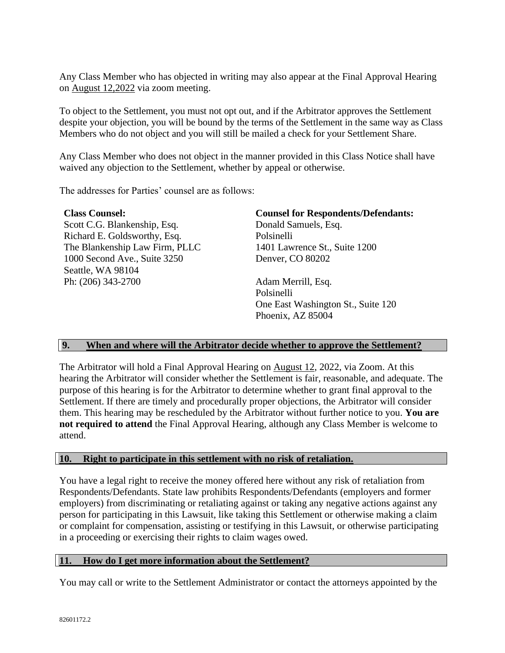Any Class Member who has objected in writing may also appear at the Final Approval Hearing on August 12,2022 via zoom meeting.

To object to the Settlement, you must not opt out, and if the Arbitrator approves the Settlement despite your objection, you will be bound by the terms of the Settlement in the same way as Class Members who do not object and you will still be mailed a check for your Settlement Share.

Any Class Member who does not object in the manner provided in this Class Notice shall have waived any objection to the Settlement, whether by appeal or otherwise.

The addresses for Parties' counsel are as follows:

| <b>Class Counsel:</b>          | <b>Counsel for Respondents/Defendants:</b> |
|--------------------------------|--------------------------------------------|
| Scott C.G. Blankenship, Esq.   | Donald Samuels, Esq.                       |
| Richard E. Goldsworthy, Esq.   | Polsinelli                                 |
| The Blankenship Law Firm, PLLC | 1401 Lawrence St., Suite 1200              |
| 1000 Second Ave., Suite 3250   | Denver, CO 80202                           |
| Seattle, WA 98104              |                                            |
| Ph: (206) 343-2700             | Adam Merrill, Esq.                         |
|                                | Polsinelli                                 |
|                                | One East Washington St., Suite 120         |

## **9. When and where will the Arbitrator decide whether to approve the Settlement?**

Phoenix, AZ 85004

The Arbitrator will hold a Final Approval Hearing on August 12, 2022, via Zoom. At this hearing the Arbitrator will consider whether the Settlement is fair, reasonable, and adequate. The purpose of this hearing is for the Arbitrator to determine whether to grant final approval to the Settlement. If there are timely and procedurally proper objections, the Arbitrator will consider them. This hearing may be rescheduled by the Arbitrator without further notice to you. **You are not required to attend** the Final Approval Hearing, although any Class Member is welcome to attend.

## **10. Right to participate in this settlement with no risk of retaliation.**

You have a legal right to receive the money offered here without any risk of retaliation from Respondents/Defendants. State law prohibits Respondents/Defendants (employers and former employers) from discriminating or retaliating against or taking any negative actions against any person for participating in this Lawsuit, like taking this Settlement or otherwise making a claim or complaint for compensation, assisting or testifying in this Lawsuit, or otherwise participating in a proceeding or exercising their rights to claim wages owed.

## **11. How do I get more information about the Settlement?**

You may call or write to the Settlement Administrator or contact the attorneys appointed by the